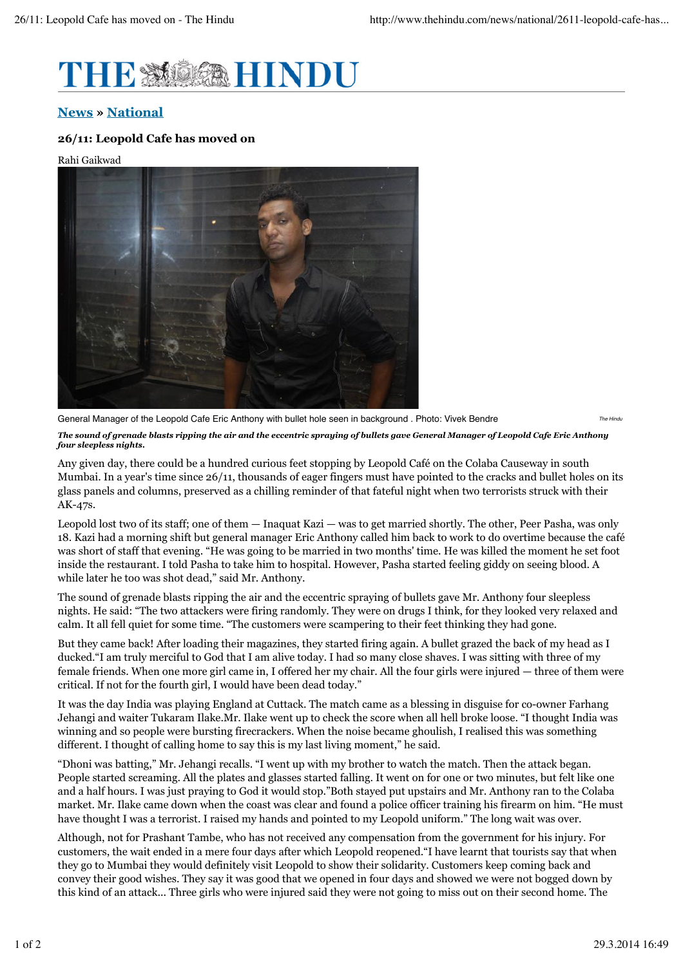

## **News » National**

## **26/11: Leopold Cafe has moved on**

Rahi Gaikwad



*The Hindu* General Manager of the Leopold Cafe Eric Anthony with bullet hole seen in background . Photo: Vivek Bendre *The sound of grenade blasts ripping the air and the eccentric spraying of bullets gave General Manager of Leopold Cafe Eric Anthony four sleepless nights.*

Any given day, there could be a hundred curious feet stopping by Leopold Café on the Colaba Causeway in south Mumbai. In a year's time since 26/11, thousands of eager fingers must have pointed to the cracks and bullet holes on its glass panels and columns, preserved as a chilling reminder of that fateful night when two terrorists struck with their AK-47s.

Leopold lost two of its staff; one of them  $-$  Inaquat Kazi  $-$  was to get married shortly. The other, Peer Pasha, was only 18. Kazi had a morning shift but general manager Eric Anthony called him back to work to do overtime because the café was short of staff that evening. "He was going to be married in two months' time. He was killed the moment he set foot inside the restaurant. I told Pasha to take him to hospital. However, Pasha started feeling giddy on seeing blood. A while later he too was shot dead," said Mr. Anthony.

The sound of grenade blasts ripping the air and the eccentric spraying of bullets gave Mr. Anthony four sleepless nights. He said: "The two attackers were firing randomly. They were on drugs I think, for they looked very relaxed and calm. It all fell quiet for some time. "The customers were scampering to their feet thinking they had gone.

But they came back! After loading their magazines, they started firing again. A bullet grazed the back of my head as I ducked."I am truly merciful to God that I am alive today. I had so many close shaves. I was sitting with three of my female friends. When one more girl came in, I offered her my chair. All the four girls were injured — three of them were critical. If not for the fourth girl, I would have been dead today."

It was the day India was playing England at Cuttack. The match came as a blessing in disguise for co-owner Farhang Jehangi and waiter Tukaram Ilake.Mr. Ilake went up to check the score when all hell broke loose. "I thought India was winning and so people were bursting firecrackers. When the noise became ghoulish, I realised this was something different. I thought of calling home to say this is my last living moment," he said.

"Dhoni was batting," Mr. Jehangi recalls. "I went up with my brother to watch the match. Then the attack began. People started screaming. All the plates and glasses started falling. It went on for one or two minutes, but felt like one and a half hours. I was just praying to God it would stop."Both stayed put upstairs and Mr. Anthony ran to the Colaba market. Mr. Ilake came down when the coast was clear and found a police officer training his firearm on him. "He must have thought I was a terrorist. I raised my hands and pointed to my Leopold uniform." The long wait was over.

Although, not for Prashant Tambe, who has not received any compensation from the government for his injury. For customers, the wait ended in a mere four days after which Leopold reopened."I have learnt that tourists say that when they go to Mumbai they would definitely visit Leopold to show their solidarity. Customers keep coming back and convey their good wishes. They say it was good that we opened in four days and showed we were not bogged down by this kind of an attack... Three girls who were injured said they were not going to miss out on their second home. The